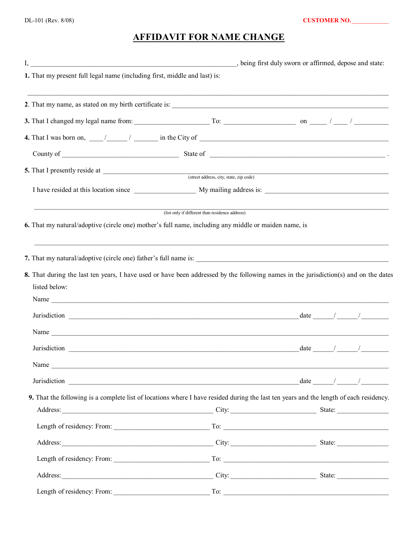## **AFFIDAVIT FOR NAME CHANGE**

| 1. That my present full legal name (including first, middle and last) is: |                                                                                                                                                                                                                                                                                                                                                                                                         |  |  |
|---------------------------------------------------------------------------|---------------------------------------------------------------------------------------------------------------------------------------------------------------------------------------------------------------------------------------------------------------------------------------------------------------------------------------------------------------------------------------------------------|--|--|
|                                                                           |                                                                                                                                                                                                                                                                                                                                                                                                         |  |  |
|                                                                           |                                                                                                                                                                                                                                                                                                                                                                                                         |  |  |
|                                                                           | 4. That I was born on, $\frac{1}{\sqrt{1-\frac{1}{n}}}\frac{1}{n}$ in the City of $\frac{1}{\sqrt{1-\frac{1}{n}}}\frac{1}{n}$                                                                                                                                                                                                                                                                           |  |  |
|                                                                           |                                                                                                                                                                                                                                                                                                                                                                                                         |  |  |
|                                                                           |                                                                                                                                                                                                                                                                                                                                                                                                         |  |  |
|                                                                           |                                                                                                                                                                                                                                                                                                                                                                                                         |  |  |
|                                                                           |                                                                                                                                                                                                                                                                                                                                                                                                         |  |  |
|                                                                           | (list only if different than residence address)                                                                                                                                                                                                                                                                                                                                                         |  |  |
|                                                                           | 6. That my natural/adoptive (circle one) mother's full name, including any middle or maiden name, is                                                                                                                                                                                                                                                                                                    |  |  |
|                                                                           |                                                                                                                                                                                                                                                                                                                                                                                                         |  |  |
|                                                                           |                                                                                                                                                                                                                                                                                                                                                                                                         |  |  |
|                                                                           |                                                                                                                                                                                                                                                                                                                                                                                                         |  |  |
|                                                                           | 8. That during the last ten years, I have used or have been addressed by the following names in the jurisdiction(s) and on the dates                                                                                                                                                                                                                                                                    |  |  |
| listed below:                                                             |                                                                                                                                                                                                                                                                                                                                                                                                         |  |  |
|                                                                           |                                                                                                                                                                                                                                                                                                                                                                                                         |  |  |
|                                                                           | Jurisdiction $\frac{1}{\sqrt{1-\frac{1}{2}}\sqrt{1-\frac{1}{2}}\sqrt{1-\frac{1}{2}}\sqrt{1-\frac{1}{2}}\sqrt{1-\frac{1}{2}}\sqrt{1-\frac{1}{2}}\sqrt{1-\frac{1}{2}}\sqrt{1-\frac{1}{2}}\sqrt{1-\frac{1}{2}}\sqrt{1-\frac{1}{2}}\sqrt{1-\frac{1}{2}}\sqrt{1-\frac{1}{2}}\sqrt{1-\frac{1}{2}}\sqrt{1-\frac{1}{2}}\sqrt{1-\frac{1}{2}}\sqrt{1-\frac{1}{2}}\sqrt{1-\frac{1}{2}}\sqrt{1-\frac{1}{2}}\sqrt{1$ |  |  |
|                                                                           |                                                                                                                                                                                                                                                                                                                                                                                                         |  |  |
|                                                                           | Jurisdiction $\frac{1}{\sqrt{1-\frac{1}{2}}\sqrt{1-\frac{1}{2}}\sqrt{1-\frac{1}{2}}\sqrt{1-\frac{1}{2}}\sqrt{1-\frac{1}{2}}\sqrt{1-\frac{1}{2}}\sqrt{1-\frac{1}{2}}\sqrt{1-\frac{1}{2}}\sqrt{1-\frac{1}{2}}\sqrt{1-\frac{1}{2}}\sqrt{1-\frac{1}{2}}\sqrt{1-\frac{1}{2}}\sqrt{1-\frac{1}{2}}\sqrt{1-\frac{1}{2}}\sqrt{1-\frac{1}{2}}\sqrt{1-\frac{1}{2}}\sqrt{1-\frac{1}{2}}\sqrt{1-\frac{1}{2}}\sqrt{1$ |  |  |
| Name                                                                      |                                                                                                                                                                                                                                                                                                                                                                                                         |  |  |
|                                                                           | Jurisdiction $\frac{1}{\sqrt{1-\frac{1}{2}}\sqrt{1-\frac{1}{2}}\sqrt{1-\frac{1}{2}}\sqrt{1-\frac{1}{2}}\sqrt{1-\frac{1}{2}}\sqrt{1-\frac{1}{2}}\sqrt{1-\frac{1}{2}}\sqrt{1-\frac{1}{2}}\sqrt{1-\frac{1}{2}}\sqrt{1-\frac{1}{2}}\sqrt{1-\frac{1}{2}}\sqrt{1-\frac{1}{2}}\sqrt{1-\frac{1}{2}}\sqrt{1-\frac{1}{2}}\sqrt{1-\frac{1}{2}}\sqrt{1-\frac{1}{2}}\sqrt{1-\frac{1}{2}}\sqrt{1-\frac{1}{2}}\sqrt{1$ |  |  |
|                                                                           | 9. That the following is a complete list of locations where I have resided during the last ten years and the length of each residency.                                                                                                                                                                                                                                                                  |  |  |
|                                                                           | Address: State: State: State: State: State: State: State: State: State: State: State: State: State: State: State: State: State: State: State: State: State: State: State: State: State: State: State: State: State: State: Sta                                                                                                                                                                          |  |  |
|                                                                           |                                                                                                                                                                                                                                                                                                                                                                                                         |  |  |
|                                                                           |                                                                                                                                                                                                                                                                                                                                                                                                         |  |  |
|                                                                           |                                                                                                                                                                                                                                                                                                                                                                                                         |  |  |
|                                                                           |                                                                                                                                                                                                                                                                                                                                                                                                         |  |  |
|                                                                           |                                                                                                                                                                                                                                                                                                                                                                                                         |  |  |
|                                                                           |                                                                                                                                                                                                                                                                                                                                                                                                         |  |  |